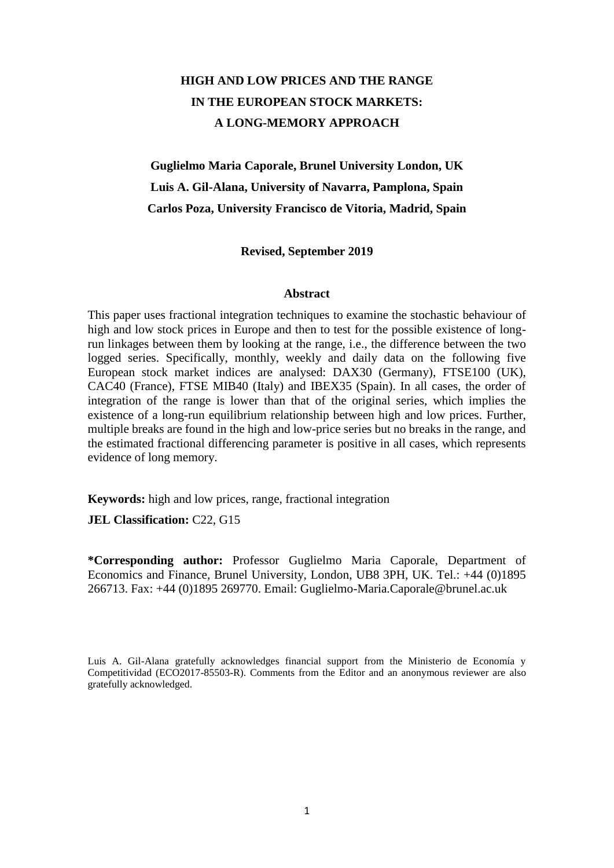# **HIGH AND LOW PRICES AND THE RANGE IN THE EUROPEAN STOCK MARKETS: A LONG-MEMORY APPROACH**

**Guglielmo Maria Caporale, Brunel University London, UK Luis A. Gil-Alana, University of Navarra, Pamplona, Spain Carlos Poza, University Francisco de Vitoria, Madrid, Spain**

**Revised, September 2019**

#### **Abstract**

This paper uses fractional integration techniques to examine the stochastic behaviour of high and low stock prices in Europe and then to test for the possible existence of longrun linkages between them by looking at the range, i.e., the difference between the two logged series. Specifically, monthly, weekly and daily data on the following five European stock market indices are analysed: DAX30 (Germany), FTSE100 (UK), CAC40 (France), FTSE MIB40 (Italy) and IBEX35 (Spain). In all cases, the order of integration of the range is lower than that of the original series, which implies the existence of a long-run equilibrium relationship between high and low prices. Further, multiple breaks are found in the high and low-price series but no breaks in the range, and the estimated fractional differencing parameter is positive in all cases, which represents evidence of long memory.

**Keywords:** high and low prices, range, fractional integration

**JEL Classification:** C22, G15

**\*Corresponding author:** Professor Guglielmo Maria Caporale, Department of Economics and Finance, Brunel University, London, UB8 3PH, UK. Tel.: +44 (0)1895 266713. Fax: +44 (0)1895 269770. Email: Guglielmo-Maria.Caporale@brunel.ac.uk

Luis A. Gil-Alana gratefully acknowledges financial support from the Ministerio de Economía y Competitividad (ECO2017-85503-R). Comments from the Editor and an anonymous reviewer are also gratefully acknowledged.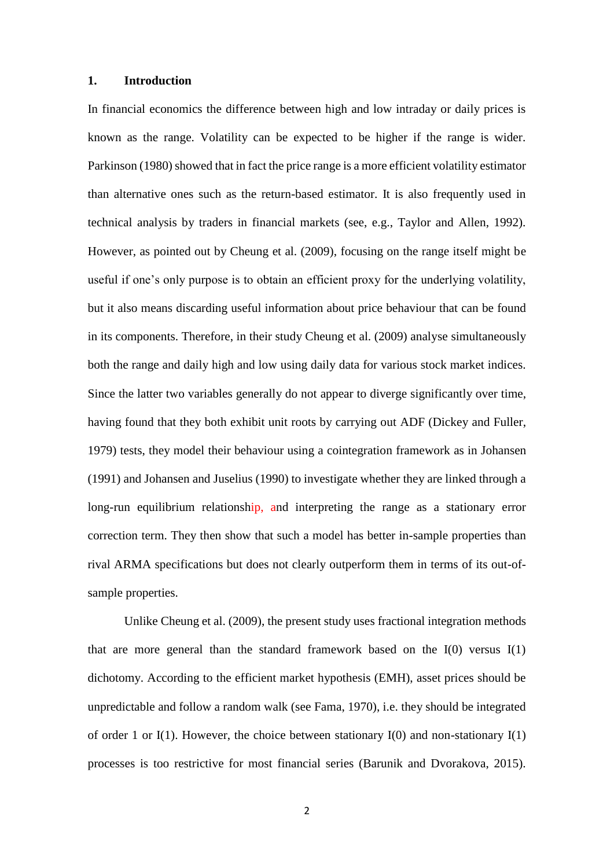## **1. Introduction**

In financial economics the difference between high and low intraday or daily prices is known as the range. Volatility can be expected to be higher if the range is wider. Parkinson (1980) showed that in fact the price range is a more efficient volatility estimator than alternative ones such as the return-based estimator. It is also frequently used in technical analysis by traders in financial markets (see, e.g., Taylor and Allen, 1992). However, as pointed out by Cheung et al. (2009), focusing on the range itself might be useful if one's only purpose is to obtain an efficient proxy for the underlying volatility, but it also means discarding useful information about price behaviour that can be found in its components. Therefore, in their study Cheung et al. (2009) analyse simultaneously both the range and daily high and low using daily data for various stock market indices. Since the latter two variables generally do not appear to diverge significantly over time, having found that they both exhibit unit roots by carrying out ADF (Dickey and Fuller, 1979) tests, they model their behaviour using a cointegration framework as in Johansen (1991) and Johansen and Juselius (1990) to investigate whether they are linked through a long-run equilibrium relationship, and interpreting the range as a stationary error correction term. They then show that such a model has better in-sample properties than rival ARMA specifications but does not clearly outperform them in terms of its out-ofsample properties.

Unlike Cheung et al. (2009), the present study uses fractional integration methods that are more general than the standard framework based on the  $I(0)$  versus  $I(1)$ dichotomy. According to the efficient market hypothesis (EMH), asset prices should be unpredictable and follow a random walk (see Fama, 1970), i.e. they should be integrated of order 1 or I(1). However, the choice between stationary I(0) and non-stationary I(1) processes is too restrictive for most financial series (Barunik and Dvorakova, 2015).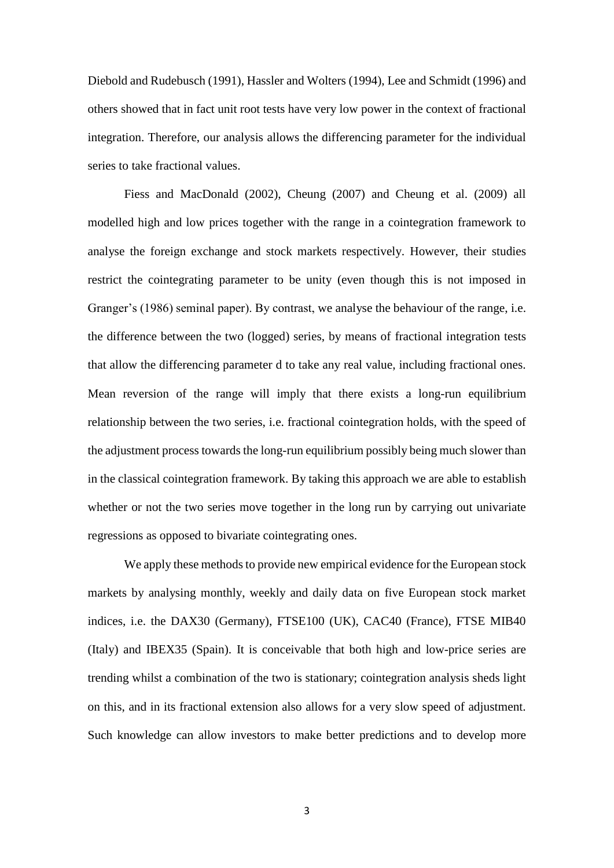Diebold and Rudebusch (1991), Hassler and Wolters (1994), Lee and Schmidt (1996) and others showed that in fact unit root tests have very low power in the context of fractional integration. Therefore, our analysis allows the differencing parameter for the individual series to take fractional values.

Fiess and MacDonald (2002), Cheung (2007) and Cheung et al. (2009) all modelled high and low prices together with the range in a cointegration framework to analyse the foreign exchange and stock markets respectively. However, their studies restrict the cointegrating parameter to be unity (even though this is not imposed in Granger's (1986) seminal paper). By contrast, we analyse the behaviour of the range, i.e. the difference between the two (logged) series, by means of fractional integration tests that allow the differencing parameter d to take any real value, including fractional ones. Mean reversion of the range will imply that there exists a long-run equilibrium relationship between the two series, i.e. fractional cointegration holds, with the speed of the adjustment process towards the long-run equilibrium possibly being much slower than in the classical cointegration framework. By taking this approach we are able to establish whether or not the two series move together in the long run by carrying out univariate regressions as opposed to bivariate cointegrating ones.

We apply these methods to provide new empirical evidence for the European stock markets by analysing monthly, weekly and daily data on five European stock market indices, i.e. the DAX30 (Germany), FTSE100 (UK), CAC40 (France), FTSE MIB40 (Italy) and IBEX35 (Spain). It is conceivable that both high and low-price series are trending whilst a combination of the two is stationary; cointegration analysis sheds light on this, and in its fractional extension also allows for a very slow speed of adjustment. Such knowledge can allow investors to make better predictions and to develop more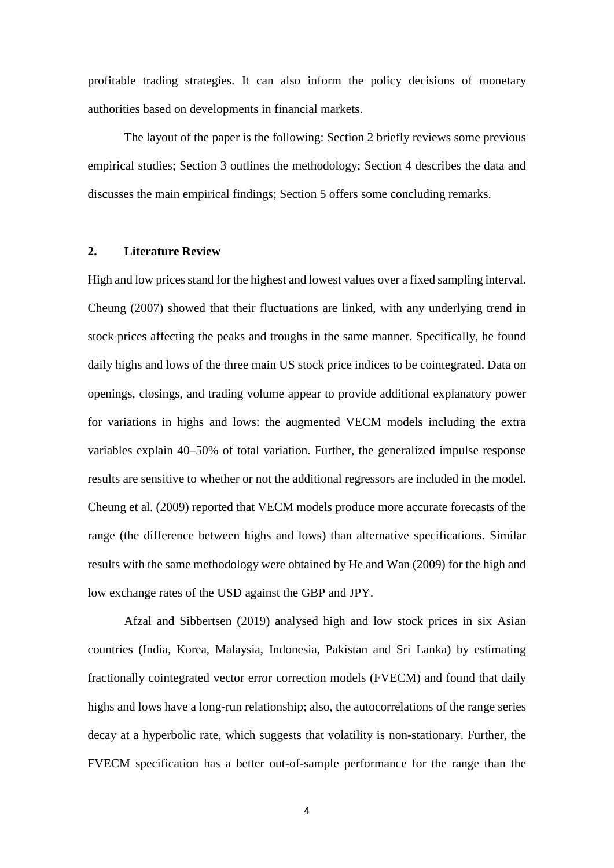profitable trading strategies. It can also inform the policy decisions of monetary authorities based on developments in financial markets.

The layout of the paper is the following: Section 2 briefly reviews some previous empirical studies; Section 3 outlines the methodology; Section 4 describes the data and discusses the main empirical findings; Section 5 offers some concluding remarks.

## **2. Literature Review**

High and low prices stand for the highest and lowest values over a fixed sampling interval. Cheung (2007) showed that their fluctuations are linked, with any underlying trend in stock prices affecting the peaks and troughs in the same manner. Specifically, he found daily highs and lows of the three main US stock price indices to be cointegrated. Data on openings, closings, and trading volume appear to provide additional explanatory power for variations in highs and lows: the augmented VECM models including the extra variables explain 40–50% of total variation. Further, the generalized impulse response results are sensitive to whether or not the additional regressors are included in the model. Cheung et al. (2009) reported that VECM models produce more accurate forecasts of the range (the difference between highs and lows) than alternative specifications. Similar results with the same methodology were obtained by He and Wan (2009) for the high and low exchange rates of the USD against the GBP and JPY.

Afzal and Sibbertsen (2019) analysed high and low stock prices in six Asian countries (India, Korea, Malaysia, Indonesia, Pakistan and Sri Lanka) by estimating fractionally cointegrated vector error correction models (FVECM) and found that daily highs and lows have a long-run relationship; also, the autocorrelations of the range series decay at a hyperbolic rate, which suggests that volatility is non-stationary. Further, the FVECM specification has a better out-of-sample performance for the range than the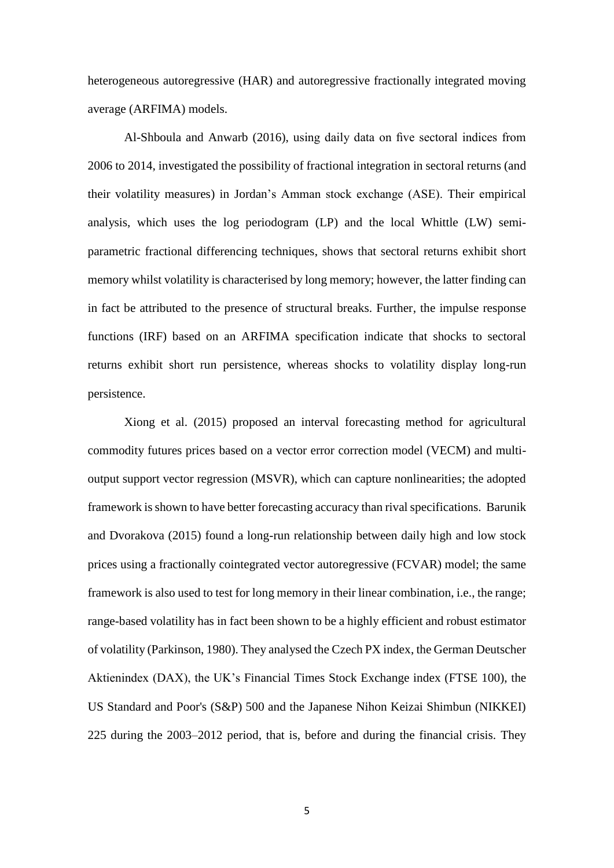heterogeneous autoregressive (HAR) and autoregressive fractionally integrated moving average (ARFIMA) models.

Al-Shboula and Anwarb (2016), using daily data on five sectoral indices from 2006 to 2014, investigated the possibility of fractional integration in sectoral returns (and their volatility measures) in Jordan's Amman stock exchange (ASE). Their empirical analysis, which uses the log periodogram (LP) and the local Whittle (LW) semiparametric fractional differencing techniques, shows that sectoral returns exhibit short memory whilst volatility is characterised by long memory; however, the latter finding can in fact be attributed to the presence of structural breaks. Further, the impulse response functions (IRF) based on an ARFIMA specification indicate that shocks to sectoral returns exhibit short run persistence, whereas shocks to volatility display long-run persistence.

Xiong et al. (2015) proposed an interval forecasting method for agricultural commodity futures prices based on a vector error correction model (VECM) and multioutput support vector regression (MSVR), which can capture nonlinearities; the adopted framework is shown to have better forecasting accuracy than rival specifications. Barunik and Dvorakova (2015) found a long-run relationship between daily high and low stock prices using a fractionally cointegrated vector autoregressive (FCVAR) model; the same framework is also used to test for long memory in their linear combination, i.e., the range; range-based volatility has in fact been shown to be a highly efficient and robust estimator of volatility (Parkinson, 1980). They analysed the Czech PX index, the German Deutscher Aktienindex (DAX), the UK's Financial Times Stock Exchange index (FTSE 100), the US Standard and Poor's (S&P) 500 and the Japanese Nihon Keizai Shimbun (NIKKEI) 225 during the 2003–2012 period, that is, before and during the financial crisis. They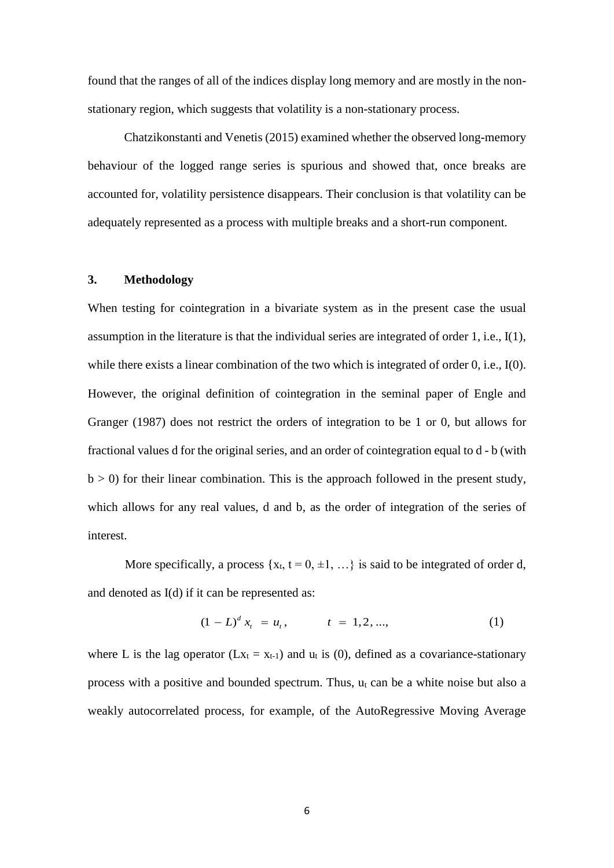found that the ranges of all of the indices display long memory and are mostly in the nonstationary region, which suggests that volatility is a non-stationary process.

Chatzikonstanti and Venetis (2015) examined whether the observed long-memory behaviour of the logged range series is spurious and showed that, once breaks are accounted for, volatility persistence disappears. Their conclusion is that volatility can be adequately represented as a process with multiple breaks and a short-run component.

## **3. Methodology**

When testing for cointegration in a bivariate system as in the present case the usual assumption in the literature is that the individual series are integrated of order 1, i.e., I(1), while there exists a linear combination of the two which is integrated of order 0, i.e., I(0). However, the original definition of cointegration in the seminal paper of Engle and Granger (1987) does not restrict the orders of integration to be 1 or 0, but allows for fractional values d for the original series, and an order of cointegration equal to d - b (with  $b > 0$ ) for their linear combination. This is the approach followed in the present study, which allows for any real values, d and b, as the order of integration of the series of interest.

More specifically, a process  $\{x_t, t = 0, \pm 1, ...\}$  is said to be integrated of order d, and denoted as I(d) if it can be represented as:

$$
(1 - L)^d x_t = u_t, \qquad t = 1, 2, ..., \qquad (1)
$$

where L is the lag operator ( $Lx_t = x_{t-1}$ ) and  $u_t$  is (0), defined as a covariance-stationary process with a positive and bounded spectrum. Thus,  $u_t$  can be a white noise but also a weakly autocorrelated process, for example, of the AutoRegressive Moving Average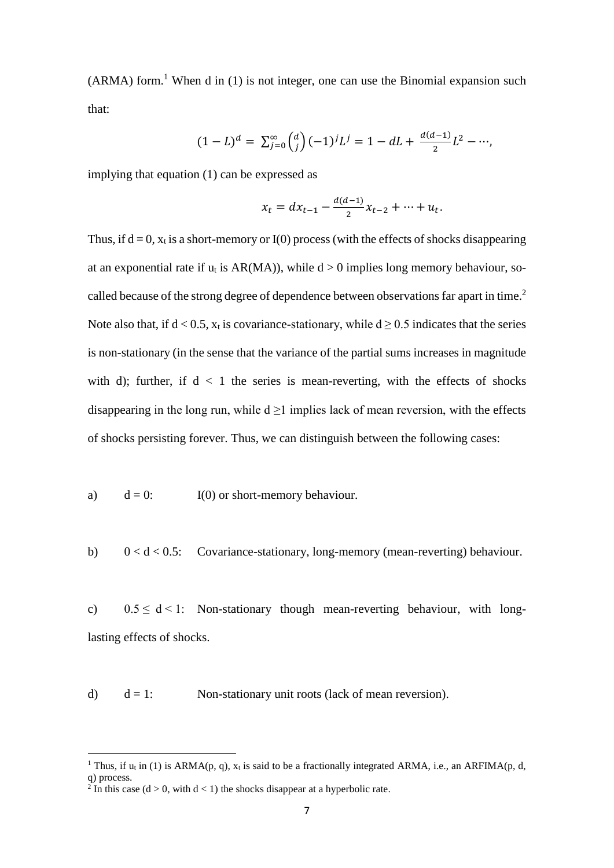$(ARMA)$  form.<sup>1</sup> When d in (1) is not integer, one can use the Binomial expansion such that:

$$
(1-L)^d = \sum_{j=0}^{\infty} {d \choose j} (-1)^j L^j = 1 - dL + \frac{d(d-1)}{2} L^2 - \cdots,
$$

implying that equation (1) can be expressed as

$$
x_t = dx_{t-1} - \frac{d(d-1)}{2}x_{t-2} + \dots + u_t.
$$

Thus, if  $d = 0$ ,  $x_t$  is a short-memory or I(0) process (with the effects of shocks disappearing at an exponential rate if  $u_t$  is AR(MA)), while  $d > 0$  implies long memory behaviour, socalled because of the strong degree of dependence between observations far apart in time.<sup>2</sup> Note also that, if  $d < 0.5$ ,  $x_t$  is covariance-stationary, while  $d \ge 0.5$  indicates that the series is non-stationary (in the sense that the variance of the partial sums increases in magnitude with d); further, if  $d < 1$  the series is mean-reverting, with the effects of shocks disappearing in the long run, while  $d \geq 1$  implies lack of mean reversion, with the effects of shocks persisting forever. Thus, we can distinguish between the following cases:

a)  $d = 0$ : I(0) or short-memory behaviour.

b)  $0 < d < 0.5$ : Covariance-stationary, long-memory (mean-reverting) behaviour.

c)  $0.5 \le d \le 1$ : Non-stationary though mean-reverting behaviour, with longlasting effects of shocks.

d)  $d = 1$ : Non-stationary unit roots (lack of mean reversion).

**.** 

<sup>&</sup>lt;sup>1</sup> Thus, if  $u_t$  in (1) is ARMA(p, q),  $x_t$  is said to be a fractionally integrated ARMA, i.e., an ARFIMA(p, d, q) process.

<sup>&</sup>lt;sup>2</sup> In this case ( $d > 0$ , with  $d < 1$ ) the shocks disappear at a hyperbolic rate.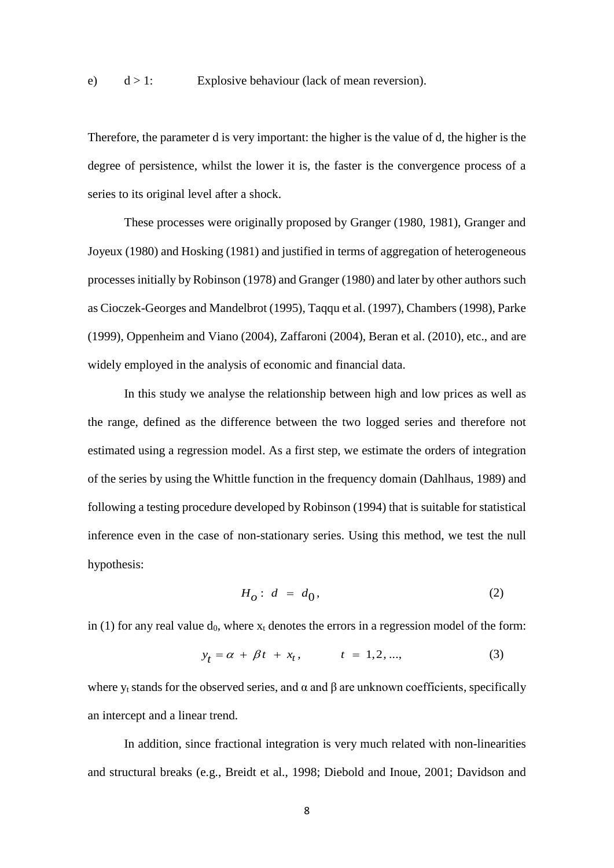Therefore, the parameter d is very important: the higher is the value of d, the higher is the degree of persistence, whilst the lower it is, the faster is the convergence process of a series to its original level after a shock.

These processes were originally proposed by Granger (1980, 1981), Granger and Joyeux (1980) and Hosking (1981) and justified in terms of aggregation of heterogeneous processes initially by Robinson (1978) and Granger (1980) and later by other authors such as Cioczek-Georges and Mandelbrot (1995), Taqqu et al. (1997), Chambers (1998), Parke (1999), Oppenheim and Viano (2004), Zaffaroni (2004), Beran et al. (2010), etc., and are widely employed in the analysis of economic and financial data.

In this study we analyse the relationship between high and low prices as well as the range, defined as the difference between the two logged series and therefore not estimated using a regression model. As a first step, we estimate the orders of integration of the series by using the Whittle function in the frequency domain (Dahlhaus, 1989) and following a testing procedure developed by Robinson (1994) that is suitable for statistical inference even in the case of non-stationary series. Using this method, we test the null hypothesis:

$$
H_o: d = d_0,\t\t(2)
$$

in (1) for any real value  $d_0$ , where  $x_t$  denotes the errors in a regression model of the form:

$$
y_t = \alpha + \beta t + x_t, \qquad t = 1, 2, ...,
$$
 (3)

where  $y_t$  stands for the observed series, and  $\alpha$  and  $\beta$  are unknown coefficients, specifically an intercept and a linear trend.

In addition, since fractional integration is very much related with non-linearities and structural breaks (e.g., Breidt et al., 1998; Diebold and Inoue, 2001; Davidson and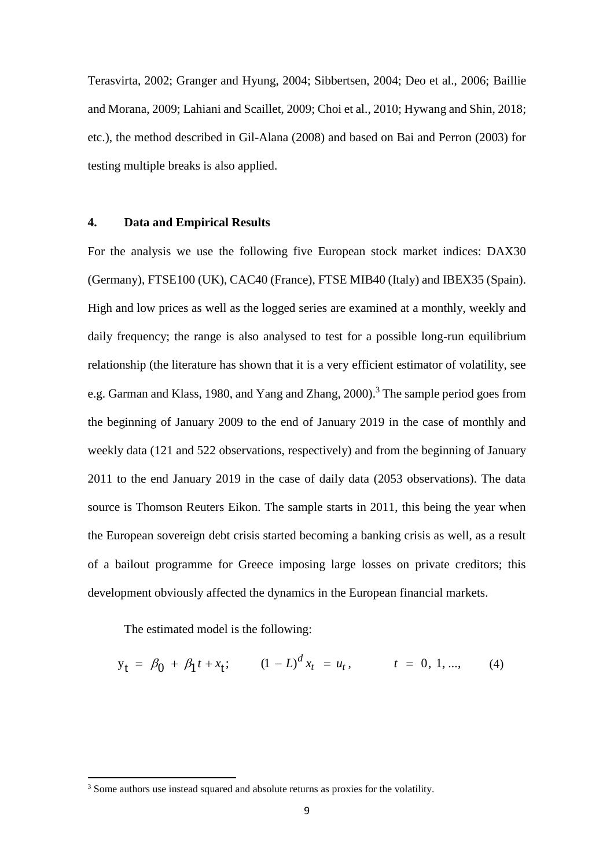Terasvirta, 2002; Granger and Hyung, 2004; Sibbertsen, 2004; Deo et al., 2006; Baillie and Morana, 2009; Lahiani and Scaillet, 2009; Choi et al., 2010; Hywang and Shin, 2018; etc.), the method described in Gil-Alana (2008) and based on Bai and Perron (2003) for testing multiple breaks is also applied.

## **4. Data and Empirical Results**

For the analysis we use the following five European stock market indices: DAX30 (Germany), FTSE100 (UK), CAC40 (France), FTSE MIB40 (Italy) and IBEX35 (Spain). High and low prices as well as the logged series are examined at a monthly, weekly and daily frequency; the range is also analysed to test for a possible long-run equilibrium relationship (the literature has shown that it is a very efficient estimator of volatility, see e.g. Garman and Klass, 1980, and Yang and Zhang, 2000). <sup>3</sup> The sample period goes from the beginning of January 2009 to the end of January 2019 in the case of monthly and weekly data (121 and 522 observations, respectively) and from the beginning of January 2011 to the end January 2019 in the case of daily data (2053 observations). The data source is Thomson Reuters Eikon. The sample starts in 2011, this being the year when the European sovereign debt crisis started becoming a banking crisis as well, as a result of a bailout programme for Greece imposing large losses on private creditors; this development obviously affected the dynamics in the European financial markets.

The estimated model is the following:

1

$$
y_t = \beta_0 + \beta_1 t + x_t; \qquad (1 - L)^d x_t = u_t, \qquad t = 0, 1, ..., \qquad (4)
$$

<sup>&</sup>lt;sup>3</sup> Some authors use instead squared and absolute returns as proxies for the volatility.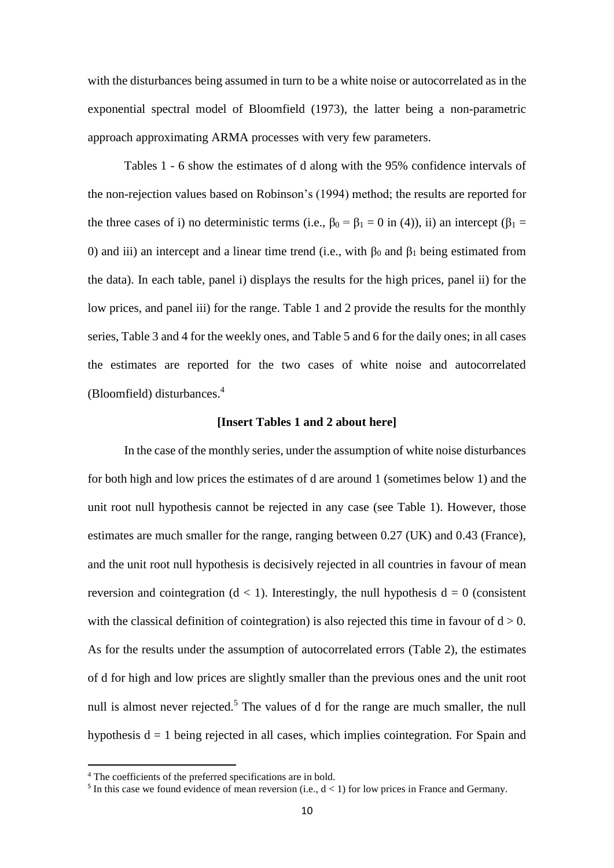with the disturbances being assumed in turn to be a white noise or autocorrelated as in the exponential spectral model of Bloomfield (1973), the latter being a non-parametric approach approximating ARMA processes with very few parameters.

Tables 1 - 6 show the estimates of d along with the 95% confidence intervals of the non-rejection values based on Robinson's (1994) method; the results are reported for the three cases of i) no deterministic terms (i.e.,  $\beta_0 = \beta_1 = 0$  in (4)), ii) an intercept ( $\beta_1 =$ 0) and iii) an intercept and a linear time trend (i.e., with  $β_0$  and  $β_1$  being estimated from the data). In each table, panel i) displays the results for the high prices, panel ii) for the low prices, and panel iii) for the range. Table 1 and 2 provide the results for the monthly series, Table 3 and 4 for the weekly ones, and Table 5 and 6 for the daily ones; in all cases the estimates are reported for the two cases of white noise and autocorrelated (Bloomfield) disturbances. 4

#### **[Insert Tables 1 and 2 about here]**

In the case of the monthly series, under the assumption of white noise disturbances for both high and low prices the estimates of d are around 1 (sometimes below 1) and the unit root null hypothesis cannot be rejected in any case (see Table 1). However, those estimates are much smaller for the range, ranging between 0.27 (UK) and 0.43 (France), and the unit root null hypothesis is decisively rejected in all countries in favour of mean reversion and cointegration  $(d < 1)$ . Interestingly, the null hypothesis  $d = 0$  (consistent with the classical definition of cointegration) is also rejected this time in favour of  $d > 0$ . As for the results under the assumption of autocorrelated errors (Table 2), the estimates of d for high and low prices are slightly smaller than the previous ones and the unit root null is almost never rejected.<sup>5</sup> The values of d for the range are much smaller, the null hypothesis  $d = 1$  being rejected in all cases, which implies cointegration. For Spain and

 $\overline{\phantom{a}}$ 

<sup>4</sup> The coefficients of the preferred specifications are in bold.

<sup>&</sup>lt;sup>5</sup> In this case we found evidence of mean reversion (i.e.,  $d < 1$ ) for low prices in France and Germany.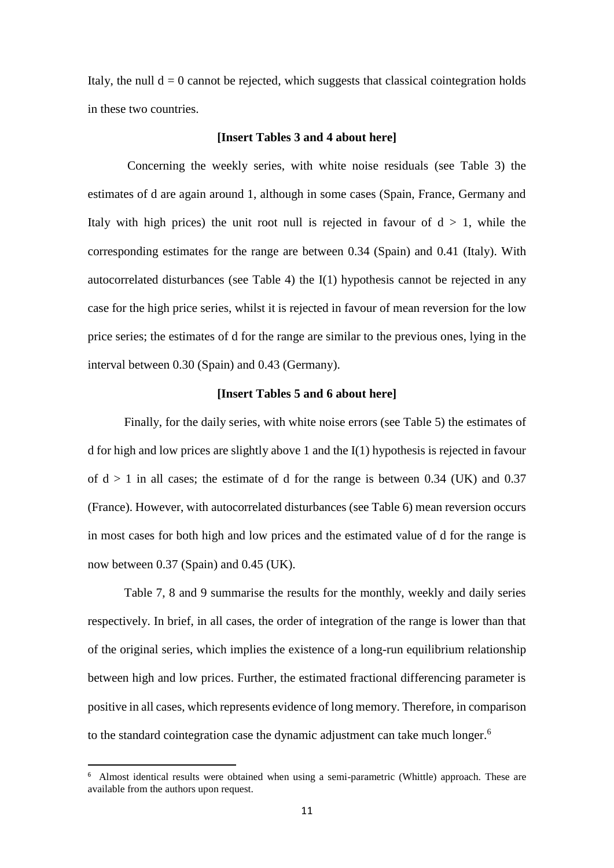Italy, the null  $d = 0$  cannot be rejected, which suggests that classical cointegration holds in these two countries.

#### **[Insert Tables 3 and 4 about here]**

Concerning the weekly series, with white noise residuals (see Table 3) the estimates of d are again around 1, although in some cases (Spain, France, Germany and Italy with high prices) the unit root null is rejected in favour of  $d > 1$ , while the corresponding estimates for the range are between 0.34 (Spain) and 0.41 (Italy). With autocorrelated disturbances (see Table 4) the I(1) hypothesis cannot be rejected in any case for the high price series, whilst it is rejected in favour of mean reversion for the low price series; the estimates of d for the range are similar to the previous ones, lying in the interval between 0.30 (Spain) and 0.43 (Germany).

## **[Insert Tables 5 and 6 about here]**

Finally, for the daily series, with white noise errors (see Table 5) the estimates of d for high and low prices are slightly above 1 and the I(1) hypothesis is rejected in favour of  $d > 1$  in all cases; the estimate of d for the range is between 0.34 (UK) and 0.37 (France). However, with autocorrelated disturbances (see Table 6) mean reversion occurs in most cases for both high and low prices and the estimated value of d for the range is now between 0.37 (Spain) and 0.45 (UK).

Table 7, 8 and 9 summarise the results for the monthly, weekly and daily series respectively. In brief, in all cases, the order of integration of the range is lower than that of the original series, which implies the existence of a long-run equilibrium relationship between high and low prices. Further, the estimated fractional differencing parameter is positive in all cases, which represents evidence of long memory. Therefore, in comparison to the standard cointegration case the dynamic adjustment can take much longer.<sup>6</sup>

 $\overline{\phantom{a}}$ 

<sup>&</sup>lt;sup>6</sup> Almost identical results were obtained when using a semi-parametric (Whittle) approach. These are available from the authors upon request.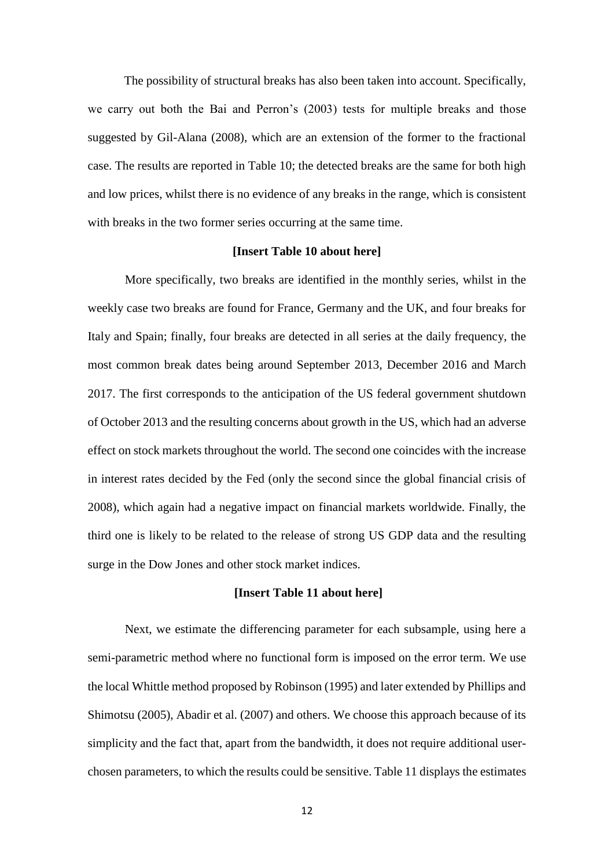The possibility of structural breaks has also been taken into account. Specifically, we carry out both the Bai and Perron's (2003) tests for multiple breaks and those suggested by Gil-Alana (2008), which are an extension of the former to the fractional case. The results are reported in Table 10; the detected breaks are the same for both high and low prices, whilst there is no evidence of any breaks in the range, which is consistent with breaks in the two former series occurring at the same time.

#### **[Insert Table 10 about here]**

More specifically, two breaks are identified in the monthly series, whilst in the weekly case two breaks are found for France, Germany and the UK, and four breaks for Italy and Spain; finally, four breaks are detected in all series at the daily frequency, the most common break dates being around September 2013, December 2016 and March 2017. The first corresponds to the anticipation of the US federal government shutdown of October 2013 and the resulting concerns about growth in the US, which had an adverse effect on stock markets throughout the world. The second one coincides with the increase in interest rates decided by the Fed (only the second since the global financial crisis of 2008), which again had a negative impact on financial markets worldwide. Finally, the third one is likely to be related to the release of strong US GDP data and the resulting surge in the Dow Jones and other stock market indices.

#### **[Insert Table 11 about here]**

Next, we estimate the differencing parameter for each subsample, using here a semi-parametric method where no functional form is imposed on the error term. We use the local Whittle method proposed by Robinson (1995) and later extended by Phillips and Shimotsu (2005), Abadir et al. (2007) and others. We choose this approach because of its simplicity and the fact that, apart from the bandwidth, it does not require additional userchosen parameters, to which the results could be sensitive. Table 11 displays the estimates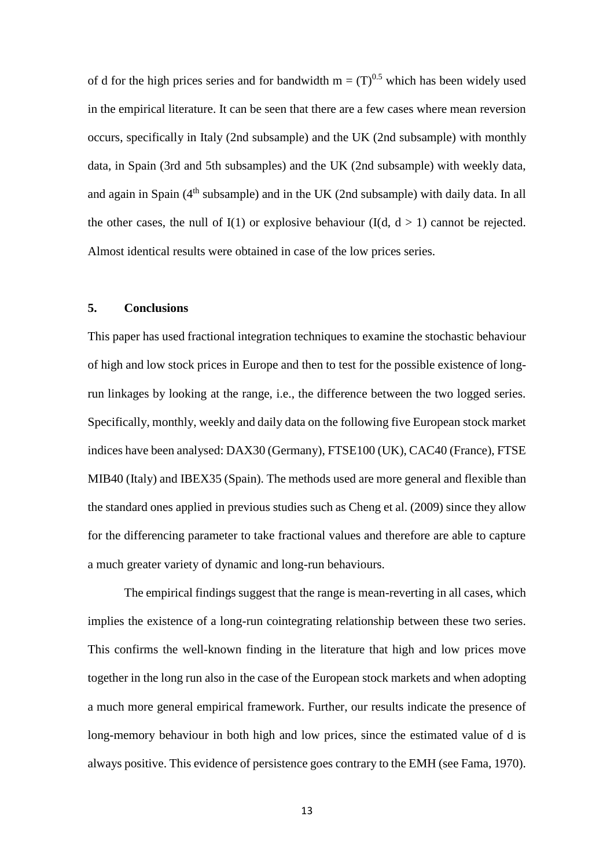of d for the high prices series and for bandwidth  $m = (T)^{0.5}$  which has been widely used in the empirical literature. It can be seen that there are a few cases where mean reversion occurs, specifically in Italy (2nd subsample) and the UK (2nd subsample) with monthly data, in Spain (3rd and 5th subsamples) and the UK (2nd subsample) with weekly data, and again in Spain (4<sup>th</sup> subsample) and in the UK (2nd subsample) with daily data. In all the other cases, the null of  $I(1)$  or explosive behaviour  $(I(d, d > 1))$  cannot be rejected. Almost identical results were obtained in case of the low prices series.

## **5. Conclusions**

This paper has used fractional integration techniques to examine the stochastic behaviour of high and low stock prices in Europe and then to test for the possible existence of longrun linkages by looking at the range, i.e., the difference between the two logged series. Specifically, monthly, weekly and daily data on the following five European stock market indices have been analysed: DAX30 (Germany), FTSE100 (UK), CAC40 (France), FTSE MIB40 (Italy) and IBEX35 (Spain). The methods used are more general and flexible than the standard ones applied in previous studies such as Cheng et al. (2009) since they allow for the differencing parameter to take fractional values and therefore are able to capture a much greater variety of dynamic and long-run behaviours.

The empirical findings suggest that the range is mean-reverting in all cases, which implies the existence of a long-run cointegrating relationship between these two series. This confirms the well-known finding in the literature that high and low prices move together in the long run also in the case of the European stock markets and when adopting a much more general empirical framework. Further, our results indicate the presence of long-memory behaviour in both high and low prices, since the estimated value of d is always positive. This evidence of persistence goes contrary to the EMH (see Fama, 1970).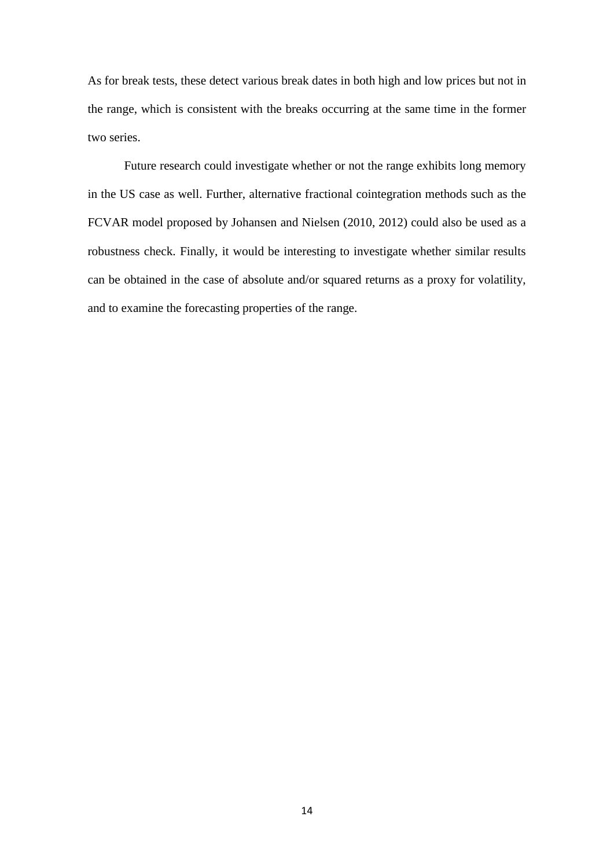As for break tests, these detect various break dates in both high and low prices but not in the range, which is consistent with the breaks occurring at the same time in the former two series.

Future research could investigate whether or not the range exhibits long memory in the US case as well. Further, alternative fractional cointegration methods such as the FCVAR model proposed by Johansen and Nielsen (2010, 2012) could also be used as a robustness check. Finally, it would be interesting to investigate whether similar results can be obtained in the case of absolute and/or squared returns as a proxy for volatility, and to examine the forecasting properties of the range.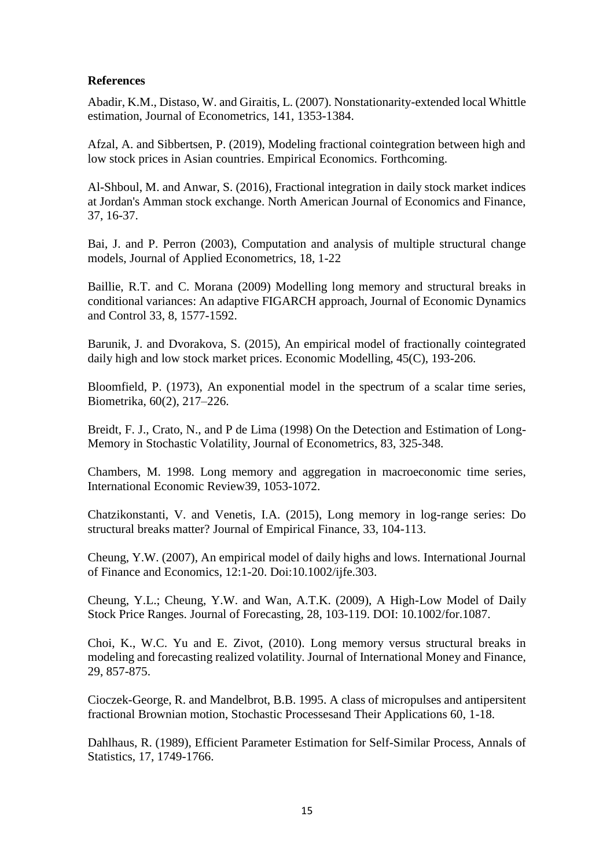## **References**

Abadir, K.M., Distaso, W. and Giraitis, L. (2007). Nonstationarity-extended local Whittle estimation, Journal of Econometrics, 141, 1353-1384.

Afzal, A. and Sibbertsen, P. (2019), Modeling fractional cointegration between high and low stock prices in Asian countries. Empirical Economics. Forthcoming.

Al-Shboul, M. and Anwar, S. (2016), Fractional integration in daily stock market indices at Jordan's Amman stock exchange. North American Journal of Economics and Finance, 37, 16-37.

Bai, J. and P. Perron (2003), Computation and analysis of multiple structural change models, Journal of Applied Econometrics, 18, 1-22

Baillie, R.T. and C. Morana (2009) Modelling long memory and structural breaks in conditional variances: An adaptive FIGARCH approach, Journal of Economic Dynamics and Control 33, 8, 1577-1592.

Barunik, J. and Dvorakova, S. (2015), An empirical model of fractionally cointegrated daily high and low stock market prices. Economic Modelling, 45(C), 193-206.

Bloomfield, P. (1973), An exponential model in the spectrum of a scalar time series, Biometrika, 60(2), 217–226.

Breidt, F. J., Crato, N., and P de Lima (1998) On the Detection and Estimation of Long-Memory in Stochastic Volatility, Journal of Econometrics, 83, 325-348.

Chambers, M. 1998. Long memory and aggregation in macroeconomic time series, International Economic Review39, 1053-1072.

Chatzikonstanti, V. and Venetis, I.A. (2015), Long memory in log-range series: Do structural breaks matter? Journal of Empirical Finance, 33, 104-113.

Cheung, Y.W. (2007), An empirical model of daily highs and lows. International Journal of Finance and Economics, 12:1-20. Doi:10.1002/ijfe.303.

Cheung, Y.L.; Cheung, Y.W. and Wan, A.T.K. (2009), A High-Low Model of Daily Stock Price Ranges. Journal of Forecasting, 28, 103-119. DOI: 10.1002/for.1087.

Choi, K., W.C. Yu and E. Zivot, (2010). Long memory versus structural breaks in modeling and forecasting realized volatility. Journal of International Money and Finance, 29, 857-875.

Cioczek-George, R. and Mandelbrot, B.B. 1995. A class of micropulses and antipersitent fractional Brownian motion, Stochastic Processesand Their Applications 60, 1-18.

Dahlhaus, R. (1989), Efficient Parameter Estimation for Self-Similar Process, Annals of Statistics, 17, 1749-1766.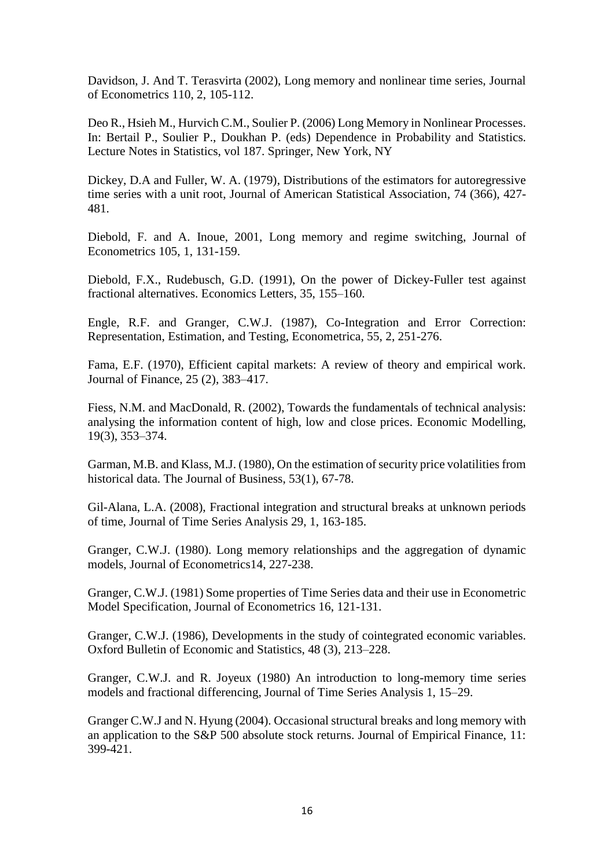Davidson, J. And T. Terasvirta (2002), Long memory and nonlinear time series, Journal of Econometrics 110, 2, 105-112.

Deo R., Hsieh M., Hurvich C.M., Soulier P. (2006) Long Memory in Nonlinear Processes. In: Bertail P., Soulier P., Doukhan P. (eds) Dependence in Probability and Statistics. Lecture Notes in Statistics, vol 187. Springer, New York, NY

Dickey, D.A and Fuller, W. A. (1979), Distributions of the estimators for autoregressive time series with a unit root, Journal of American Statistical Association, 74 (366), 427- 481.

Diebold, F. and A. Inoue, 2001, Long memory and regime switching, Journal of Econometrics 105, 1, 131-159.

Diebold, F.X., Rudebusch, G.D. (1991), On the power of Dickey-Fuller test against fractional alternatives. Economics Letters, 35, 155–160.

Engle, R.F. and Granger, C.W.J. (1987), Co-Integration and Error Correction: Representation, Estimation, and Testing, Econometrica, 55, 2, 251-276.

Fama, E.F. (1970), Efficient capital markets: A review of theory and empirical work. Journal of Finance, 25 (2), 383–417.

Fiess, N.M. and MacDonald, R. (2002), Towards the fundamentals of technical analysis: analysing the information content of high, low and close prices. Economic Modelling, 19(3), 353–374.

Garman, M.B. and Klass, M.J. (1980), On the estimation of security price volatilities from historical data. The Journal of Business, 53(1), 67-78.

Gil-Alana, L.A. (2008), Fractional integration and structural breaks at unknown periods of time, Journal of Time Series Analysis 29, 1, 163-185.

Granger, C.W.J. (1980). Long memory relationships and the aggregation of dynamic models, Journal of Econometrics14, 227-238.

Granger, C.W.J. (1981) Some properties of Time Series data and their use in Econometric Model Specification, Journal of Econometrics 16, 121-131.

Granger, C.W.J. (1986), Developments in the study of cointegrated economic variables. Oxford Bulletin of Economic and Statistics, 48 (3), 213–228.

Granger, C.W.J. and R. Joyeux (1980) An introduction to long-memory time series models and fractional differencing, Journal of Time Series Analysis 1, 15–29.

Granger C.W.J and N. Hyung (2004). Occasional structural breaks and long memory with an application to the S&P 500 absolute stock returns. Journal of Empirical Finance, 11: 399-421.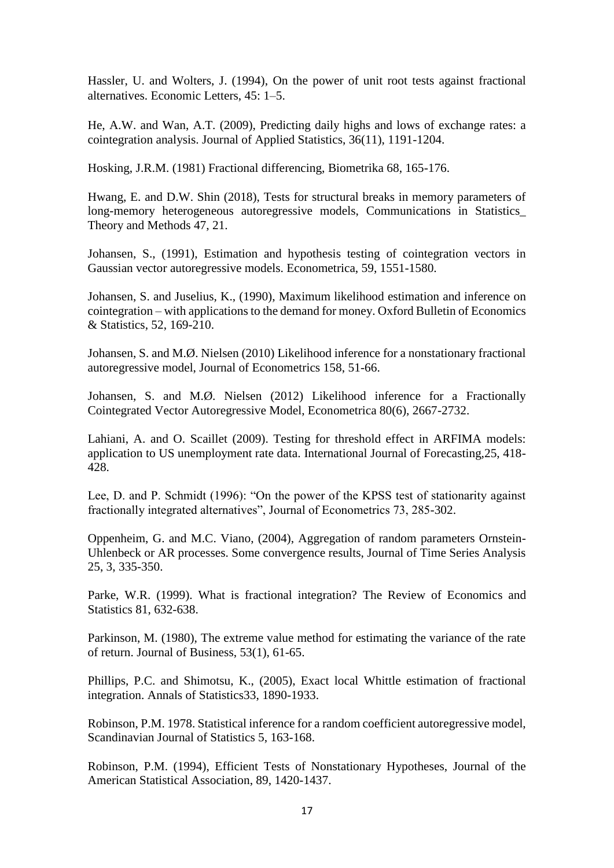Hassler, U. and Wolters, J. (1994), On the power of unit root tests against fractional alternatives. Economic Letters, 45: 1–5.

He, A.W. and Wan, A.T. (2009), Predicting daily highs and lows of exchange rates: a cointegration analysis. Journal of Applied Statistics, 36(11), 1191-1204.

Hosking, J.R.M. (1981) Fractional differencing, Biometrika 68, 165-176.

Hwang, E. and D.W. Shin (2018), Tests for structural breaks in memory parameters of long-memory heterogeneous autoregressive models, Communications in Statistics\_ Theory and Methods 47, 21.

Johansen, S., (1991), Estimation and hypothesis testing of cointegration vectors in Gaussian vector autoregressive models. Econometrica, 59, 1551-1580.

Johansen, S. and Juselius, K., (1990), Maximum likelihood estimation and inference on cointegration – with applications to the demand for money. Oxford Bulletin of Economics & Statistics, 52, 169-210.

Johansen, S. and M.Ø. Nielsen (2010) Likelihood inference for a nonstationary fractional autoregressive model, Journal of Econometrics 158, 51-66.

Johansen, S. and M.Ø. Nielsen (2012) Likelihood inference for a Fractionally Cointegrated Vector Autoregressive Model, Econometrica 80(6), 2667-2732.

Lahiani, A. and O. Scaillet (2009). Testing for threshold effect in ARFIMA models: application to US unemployment rate data. International Journal of Forecasting,25, 418- 428.

Lee, D. and P. Schmidt (1996): "On the power of the KPSS test of stationarity against fractionally integrated alternatives", Journal of Econometrics 73, 285-302.

Oppenheim, G. and M.C. Viano, (2004), Aggregation of random parameters Ornstein-Uhlenbeck or AR processes. Some convergence results, Journal of Time Series Analysis 25, 3, 335-350.

Parke, W.R. (1999). What is fractional integration? The Review of Economics and Statistics 81, 632-638.

Parkinson, M. (1980), The extreme value method for estimating the variance of the rate of return. Journal of Business, 53(1), 61-65.

Phillips, P.C. and Shimotsu, K., (2005), Exact local Whittle estimation of fractional integration. Annals of Statistics33, 1890-1933.

Robinson, P.M. 1978. Statistical inference for a random coefficient autoregressive model, Scandinavian Journal of Statistics 5, 163-168.

Robinson, P.M. (1994), Efficient Tests of Nonstationary Hypotheses, Journal of the American Statistical Association, 89, 1420-1437.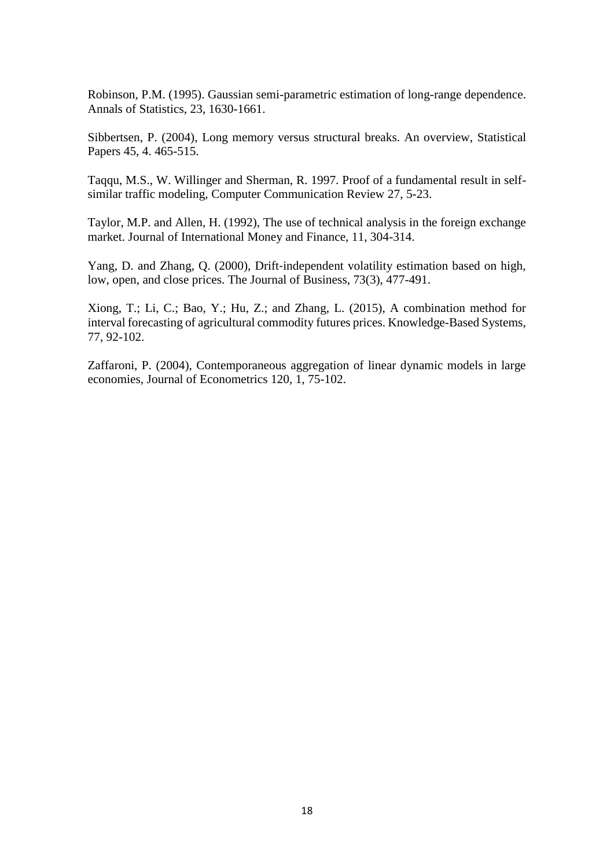Robinson, P.M. (1995). Gaussian semi-parametric estimation of long-range dependence. Annals of Statistics, 23, 1630-1661.

Sibbertsen, P. (2004), Long memory versus structural breaks. An overview, Statistical Papers 45, 4. 465-515.

Taqqu, M.S., W. Willinger and Sherman, R. 1997. Proof of a fundamental result in selfsimilar traffic modeling, Computer Communication Review 27, 5-23.

Taylor, M.P. and Allen, H. (1992), The use of technical analysis in the foreign exchange market. Journal of International Money and Finance, 11, 304-314.

Yang, D. and Zhang, Q. (2000), Drift‐independent volatility estimation based on high, low, open, and close prices. The Journal of Business, 73(3), 477-491.

Xiong, T.; Li, C.; Bao, Y.; Hu, Z.; and Zhang, L. (2015), A combination method for interval forecasting of agricultural commodity futures prices. Knowledge-Based Systems, 77, 92-102.

Zaffaroni, P. (2004), Contemporaneous aggregation of linear dynamic models in large economies, Journal of Econometrics 120, 1, 75-102.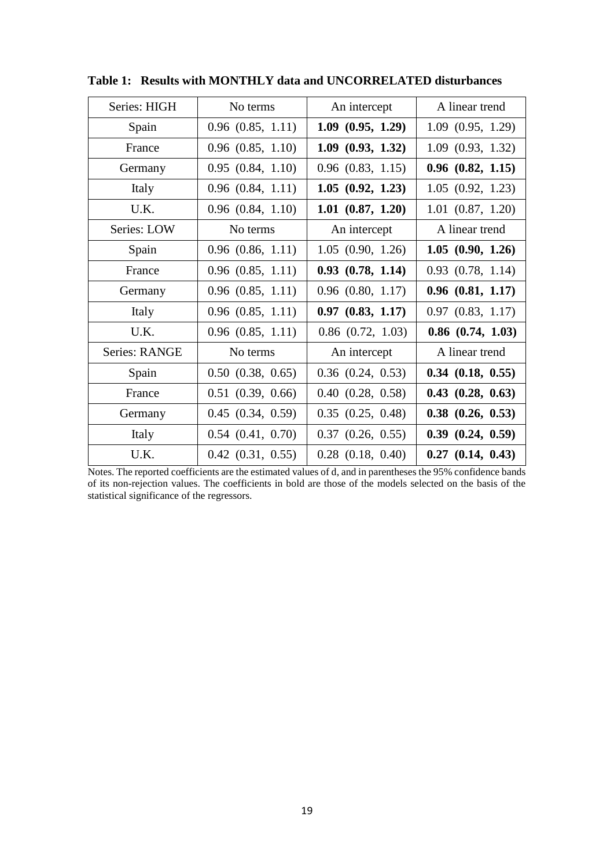| Series: HIGH  | No terms              | An intercept          | A linear trend        |  |
|---------------|-----------------------|-----------------------|-----------------------|--|
| Spain         | $0.96$ $(0.85, 1.11)$ | $1.09$ $(0.95, 1.29)$ | 1.09(0.95, 1.29)      |  |
| France        | $0.96$ $(0.85, 1.10)$ | $1.09$ $(0.93, 1.32)$ | $1.09$ $(0.93, 1.32)$ |  |
| Germany       | $0.95$ $(0.84, 1.10)$ | $0.96$ $(0.83, 1.15)$ | $0.96$ $(0.82, 1.15)$ |  |
| Italy         | $0.96$ $(0.84, 1.11)$ | 1.05(0.92, 1.23)      | 1.05(0.92, 1.23)      |  |
| U.K.          | $0.96$ $(0.84, 1.10)$ | $1.01$ $(0.87, 1.20)$ | $1.01$ $(0.87, 1.20)$ |  |
| Series: LOW   | No terms              | An intercept          | A linear trend        |  |
| Spain         | $0.96$ $(0.86, 1.11)$ | 1.05(0.90, 1.26)      | 1.05(0.90, 1.26)      |  |
| France        | $0.96$ $(0.85, 1.11)$ | $0.93$ $(0.78, 1.14)$ | $0.93$ $(0.78, 1.14)$ |  |
| Germany       | $0.96$ $(0.85, 1.11)$ | $0.96$ $(0.80, 1.17)$ | $0.96$ $(0.81, 1.17)$ |  |
| Italy         | $0.96$ $(0.85, 1.11)$ | $0.97$ $(0.83, 1.17)$ | $0.97$ $(0.83, 1.17)$ |  |
| U.K.          | $0.96$ $(0.85, 1.11)$ | $0.86$ $(0.72, 1.03)$ | $0.86$ $(0.74, 1.03)$ |  |
| Series: RANGE | No terms              | An intercept          | A linear trend        |  |
| Spain         | $0.50$ $(0.38, 0.65)$ | $0.36$ $(0.24, 0.53)$ | $0.34$ $(0.18, 0.55)$ |  |
| France        | $0.51$ $(0.39, 0.66)$ | $0.40$ $(0.28, 0.58)$ | $0.43$ $(0.28, 0.63)$ |  |
| Germany       | $0.45$ $(0.34, 0.59)$ | $0.35$ $(0.25, 0.48)$ | $0.38$ $(0.26, 0.53)$ |  |
| Italy         | $0.54$ $(0.41, 0.70)$ | $0.37$ $(0.26, 0.55)$ | $0.39$ $(0.24, 0.59)$ |  |
| U.K.          | $0.42$ $(0.31, 0.55)$ | $0.28$ $(0.18, 0.40)$ | $0.27$ $(0.14, 0.43)$ |  |

**Table 1: Results with MONTHLY data and UNCORRELATED disturbances**

Notes. The reported coefficients are the estimated values of d, and in parentheses the 95% confidence bands of its non-rejection values. The coefficients in bold are those of the models selected on the basis of the statistical significance of the regressors.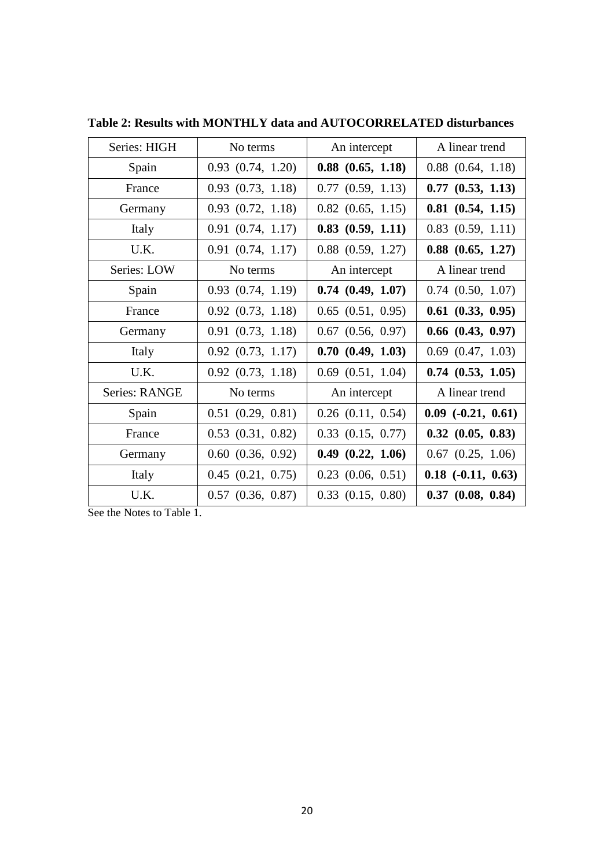| Series: HIGH  | No terms              | An intercept          | A linear trend              |
|---------------|-----------------------|-----------------------|-----------------------------|
| Spain         | $0.93$ $(0.74, 1.20)$ | $0.88$ $(0.65, 1.18)$ | $0.88$ $(0.64, 1.18)$       |
| France        | $0.93$ $(0.73, 1.18)$ | $0.77$ $(0.59, 1.13)$ | $0.77$ $(0.53, 1.13)$       |
| Germany       | $0.93$ $(0.72, 1.18)$ | $0.82$ $(0.65, 1.15)$ | $0.81$ $(0.54, 1.15)$       |
| Italy         | $0.91$ $(0.74, 1.17)$ | $0.83$ $(0.59, 1.11)$ | $0.83$ $(0.59, 1.11)$       |
| U.K.          | $0.91$ $(0.74, 1.17)$ | $0.88$ $(0.59, 1.27)$ | $0.88$ $(0.65, 1.27)$       |
| Series: LOW   | No terms              | An intercept          | A linear trend              |
| Spain         | $0.93$ $(0.74, 1.19)$ | $0.74$ $(0.49, 1.07)$ | $0.74$ $(0.50, 1.07)$       |
| France        | $0.92$ $(0.73, 1.18)$ | $0.65$ $(0.51, 0.95)$ | $0.61$ $(0.33, 0.95)$       |
| Germany       | $0.91$ $(0.73, 1.18)$ | $0.67$ $(0.56, 0.97)$ | $0.66$ $(0.43, 0.97)$       |
| Italy         | $0.92$ $(0.73, 1.17)$ | 0.70(0.49, 1.03)      | $0.69$ $(0.47, 1.03)$       |
| U.K.          | $0.92$ $(0.73, 1.18)$ | $0.69$ $(0.51, 1.04)$ | $0.74$ $(0.53, 1.05)$       |
| Series: RANGE | No terms              | An intercept          | A linear trend              |
| Spain         | $0.51$ $(0.29, 0.81)$ | $0.26$ $(0.11, 0.54)$ | $0.09$ $(-0.21, 0.61)$      |
| France        | $0.53$ $(0.31, 0.82)$ | $0.33$ $(0.15, 0.77)$ | $0.32$ $(0.05, 0.83)$       |
| Germany       | $0.60$ $(0.36, 0.92)$ | $0.49$ $(0.22, 1.06)$ | $0.67$ $(0.25, 1.06)$       |
| Italy         | $0.45$ $(0.21, 0.75)$ | $0.23$ $(0.06, 0.51)$ | $0.18$ ( $-0.11$ , $0.63$ ) |
| U.K.          | $0.57$ $(0.36, 0.87)$ | $0.33$ $(0.15, 0.80)$ | $0.37$ $(0.08, 0.84)$       |

**Table 2: Results with MONTHLY data and AUTOCORRELATED disturbances**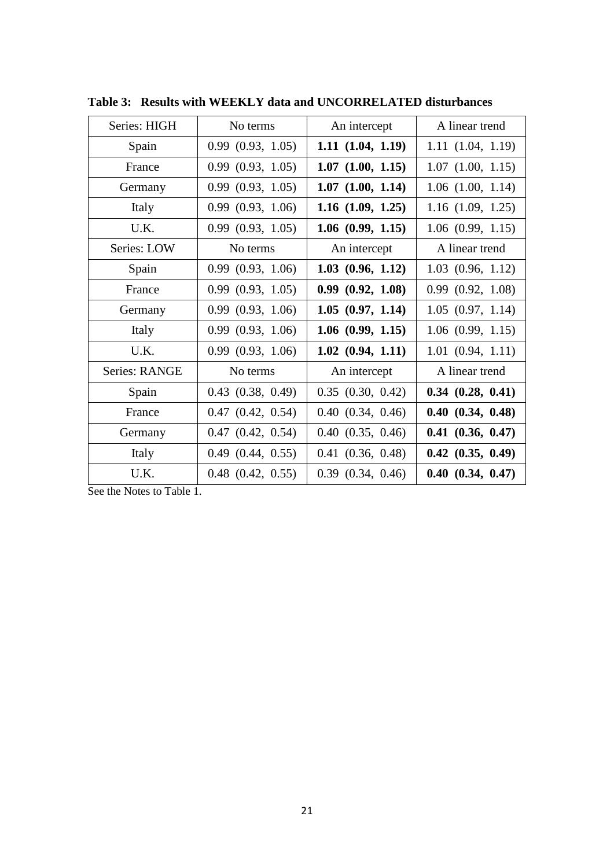| Series: HIGH         | No terms              | An intercept          | A linear trend        |  |
|----------------------|-----------------------|-----------------------|-----------------------|--|
| Spain                | 0.99(0.93, 1.05)      | $1.11$ $(1.04, 1.19)$ | 1.11(1.04, 1.19)      |  |
| France               | 0.99(0.93, 1.05)      | $1.07$ $(1.00, 1.15)$ | $1.07$ $(1.00, 1.15)$ |  |
| Germany              | 0.99(0.93, 1.05)      | $1.07$ $(1.00, 1.14)$ | $1.06$ $(1.00, 1.14)$ |  |
| Italy                | 0.99(0.93, 1.06)      | $1.16$ $(1.09, 1.25)$ | $1.16$ $(1.09, 1.25)$ |  |
| U.K.                 | 0.99(0.93, 1.05)      | $1.06$ $(0.99, 1.15)$ | $1.06$ $(0.99, 1.15)$ |  |
| Series: LOW          | No terms              | An intercept          | A linear trend        |  |
| Spain                | $0.99$ $(0.93, 1.06)$ | $1.03$ $(0.96, 1.12)$ | $1.03$ $(0.96, 1.12)$ |  |
| France               | $0.99$ $(0.93, 1.05)$ | 0.99(0.92, 1.08)      | 0.99(0.92, 1.08)      |  |
| Germany              | $0.99$ $(0.93, 1.06)$ | 1.05(0.97, 1.14)      | $1.05$ $(0.97, 1.14)$ |  |
| Italy                | 0.99(0.93, 1.06)      | $1.06$ $(0.99, 1.15)$ | $1.06$ $(0.99, 1.15)$ |  |
| U.K.                 | 0.99(0.93, 1.06)      | $1.02$ $(0.94, 1.11)$ | $1.01$ $(0.94, 1.11)$ |  |
| <b>Series: RANGE</b> | No terms              | An intercept          | A linear trend        |  |
| Spain                | $0.43$ $(0.38, 0.49)$ | $0.35$ $(0.30, 0.42)$ | $0.34$ $(0.28, 0.41)$ |  |
| France               | $0.47$ $(0.42, 0.54)$ | $0.40$ $(0.34, 0.46)$ | $0.40$ $(0.34, 0.48)$ |  |
| Germany              | $0.47$ $(0.42, 0.54)$ | $0.40$ $(0.35, 0.46)$ | $0.41$ $(0.36, 0.47)$ |  |
| Italy                | $0.49$ $(0.44, 0.55)$ | $0.41$ $(0.36, 0.48)$ | $0.42$ $(0.35, 0.49)$ |  |
| U.K.                 | $0.48$ $(0.42, 0.55)$ | $0.39$ $(0.34, 0.46)$ | $0.40$ $(0.34, 0.47)$ |  |

**Table 3: Results with WEEKLY data and UNCORRELATED disturbances**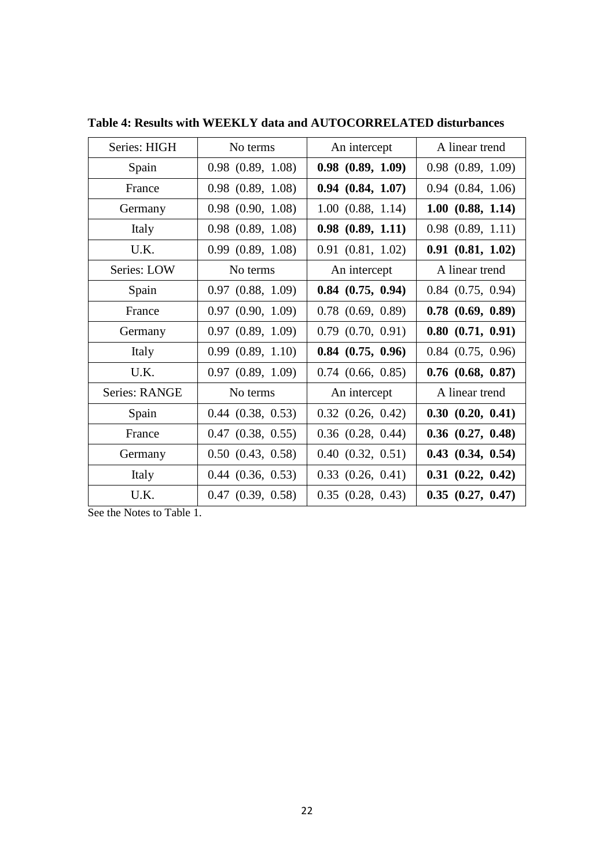| Series: HIGH  | No terms              | An intercept          | A linear trend        |  |
|---------------|-----------------------|-----------------------|-----------------------|--|
| Spain         | $0.98$ $(0.89, 1.08)$ | $0.98$ $(0.89, 1.09)$ | $0.98$ $(0.89, 1.09)$ |  |
| France        | $0.98$ $(0.89, 1.08)$ | $0.94$ $(0.84, 1.07)$ | $0.94$ $(0.84, 1.06)$ |  |
| Germany       | $0.98$ $(0.90, 1.08)$ | $1.00$ $(0.88, 1.14)$ | $1.00$ $(0.88, 1.14)$ |  |
| Italy         | $0.98$ $(0.89, 1.08)$ | $0.98$ $(0.89, 1.11)$ | $0.98$ $(0.89, 1.11)$ |  |
| U.K.          | 0.99(0.89, 1.08)      | 0.91(0.81, 1.02)      | $0.91$ $(0.81, 1.02)$ |  |
| Series: LOW   | No terms              | An intercept          | A linear trend        |  |
| Spain         | $0.97$ $(0.88, 1.09)$ | $0.84$ $(0.75, 0.94)$ | $0.84$ $(0.75, 0.94)$ |  |
| France        | $0.97$ $(0.90, 1.09)$ | $0.78$ $(0.69, 0.89)$ | $0.78$ $(0.69, 0.89)$ |  |
| Germany       | 0.97(0.89, 1.09)      | $0.79$ $(0.70, 0.91)$ | $0.80$ $(0.71, 0.91)$ |  |
| Italy         | 0.99(0.89, 1.10)      | $0.84$ $(0.75, 0.96)$ | $0.84$ $(0.75, 0.96)$ |  |
| U.K.          | $0.97$ $(0.89, 1.09)$ | $0.74$ $(0.66, 0.85)$ | $0.76$ $(0.68, 0.87)$ |  |
| Series: RANGE | No terms              | An intercept          | A linear trend        |  |
| Spain         | $0.44$ $(0.38, 0.53)$ | $0.32$ $(0.26, 0.42)$ | $0.30$ $(0.20, 0.41)$ |  |
| France        | $0.47$ $(0.38, 0.55)$ | $0.36$ $(0.28, 0.44)$ | $0.36$ $(0.27, 0.48)$ |  |
| Germany       | $0.50$ $(0.43, 0.58)$ | $0.40$ $(0.32, 0.51)$ | $0.43$ $(0.34, 0.54)$ |  |
| Italy         | $0.44$ $(0.36, 0.53)$ | $0.33$ $(0.26, 0.41)$ | $0.31$ $(0.22, 0.42)$ |  |
| U.K.          | $0.47$ $(0.39, 0.58)$ | $0.35$ $(0.28, 0.43)$ | $0.35$ $(0.27, 0.47)$ |  |

**Table 4: Results with WEEKLY data and AUTOCORRELATED disturbances**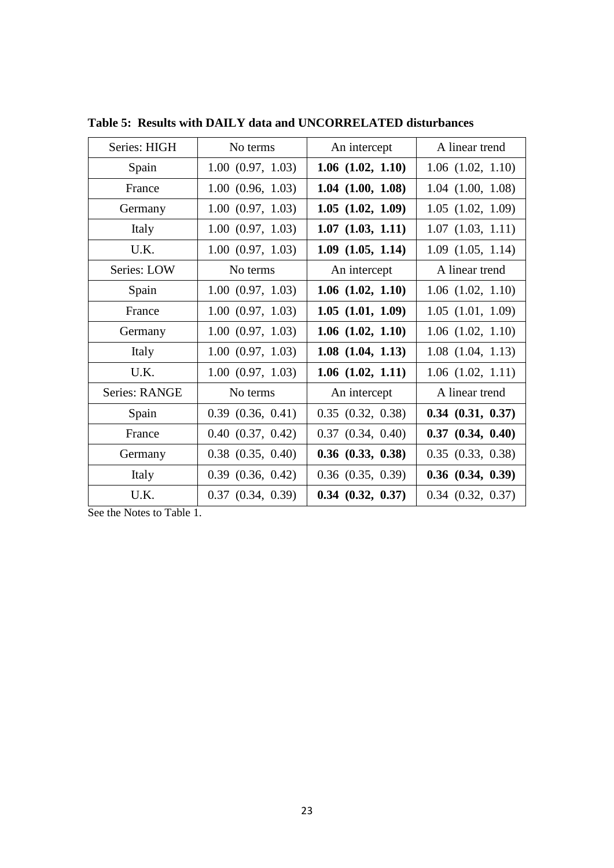| Series: HIGH  | No terms              | An intercept          | A linear trend        |  |
|---------------|-----------------------|-----------------------|-----------------------|--|
| Spain         | 1.00(0.97, 1.03)      | $1.06$ $(1.02, 1.10)$ | $1.06$ $(1.02, 1.10)$ |  |
| France        | 1.00(0.96, 1.03)      | $1.04$ $(1.00, 1.08)$ | $1.04$ $(1.00, 1.08)$ |  |
| Germany       | $1.00$ $(0.97, 1.03)$ | $1.05$ $(1.02, 1.09)$ | $1.05$ $(1.02, 1.09)$ |  |
| Italy         | $1.00$ $(0.97, 1.03)$ | $1.07$ $(1.03, 1.11)$ | $1.07$ $(1.03, 1.11)$ |  |
| U.K.          | 1.00(0.97, 1.03)      | $1.09$ $(1.05, 1.14)$ | $1.09$ $(1.05, 1.14)$ |  |
| Series: LOW   | No terms              | An intercept          | A linear trend        |  |
| Spain         | $1.00$ $(0.97, 1.03)$ | $1.06$ $(1.02, 1.10)$ | $1.06$ $(1.02, 1.10)$ |  |
| France        | 1.00(0.97, 1.03)      | $1.05$ $(1.01, 1.09)$ | $1.05$ $(1.01, 1.09)$ |  |
| Germany       | 1.00(0.97, 1.03)      | $1.06$ $(1.02, 1.10)$ | $1.06$ $(1.02, 1.10)$ |  |
| Italy         | $1.00$ $(0.97, 1.03)$ | $1.08$ $(1.04, 1.13)$ | $1.08$ $(1.04, 1.13)$ |  |
| U.K.          | 1.00(0.97, 1.03)      | $1.06$ $(1.02, 1.11)$ | $1.06$ $(1.02, 1.11)$ |  |
| Series: RANGE | No terms              | An intercept          | A linear trend        |  |
| Spain         | $0.39$ $(0.36, 0.41)$ | $0.35$ $(0.32, 0.38)$ | $0.34$ $(0.31, 0.37)$ |  |
| France        | $0.40$ $(0.37, 0.42)$ | $0.37$ $(0.34, 0.40)$ | $0.37$ $(0.34, 0.40)$ |  |
| Germany       | $0.38$ $(0.35, 0.40)$ | $0.36$ $(0.33, 0.38)$ | $0.35$ $(0.33, 0.38)$ |  |
| Italy         | $0.39$ $(0.36, 0.42)$ | $0.36$ $(0.35, 0.39)$ | $0.36$ $(0.34, 0.39)$ |  |
| U.K.          | $0.37$ $(0.34, 0.39)$ | $0.34$ $(0.32, 0.37)$ | $0.34$ $(0.32, 0.37)$ |  |

**Table 5: Results with DAILY data and UNCORRELATED disturbances**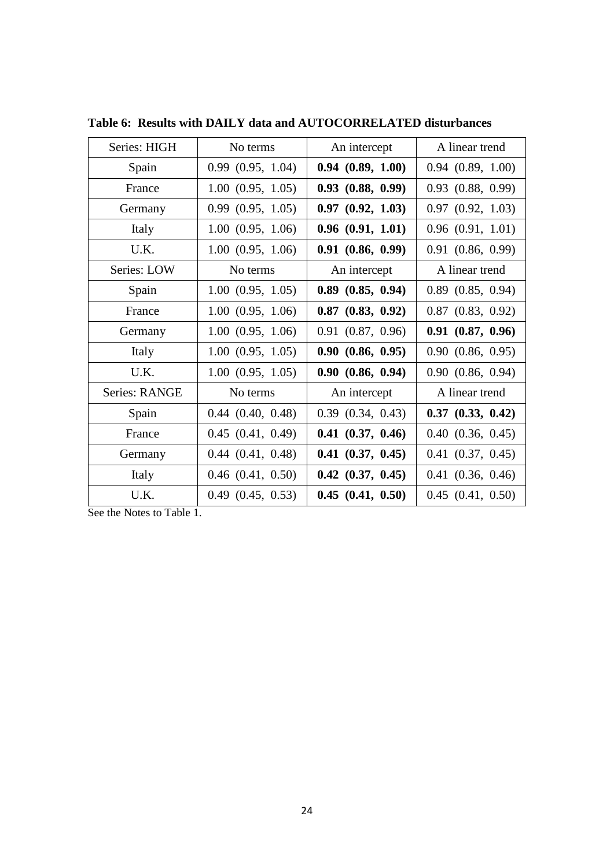| Series: HIGH  | No terms              | An intercept          | A linear trend        |
|---------------|-----------------------|-----------------------|-----------------------|
| Spain         | $0.99$ $(0.95, 1.04)$ | 0.94(0.89, 1.00)      | $0.94$ $(0.89, 1.00)$ |
| France        | $1.00$ $(0.95, 1.05)$ | $0.93$ $(0.88, 0.99)$ | $0.93$ $(0.88, 0.99)$ |
| Germany       | 0.99(0.95, 1.05)      | $0.97$ $(0.92, 1.03)$ | $0.97$ $(0.92, 1.03)$ |
| Italy         | $1.00$ $(0.95, 1.06)$ | $0.96$ $(0.91, 1.01)$ | $0.96$ $(0.91, 1.01)$ |
| U.K.          | $1.00$ $(0.95, 1.06)$ | $0.91$ $(0.86, 0.99)$ | $0.91$ $(0.86, 0.99)$ |
| Series: LOW   | No terms              | An intercept          | A linear trend        |
| Spain         | 1.00(0.95, 1.05)      | $0.89$ $(0.85, 0.94)$ | $0.89$ $(0.85, 0.94)$ |
| France        | $1.00$ $(0.95, 1.06)$ | $0.87$ $(0.83, 0.92)$ | $0.87$ $(0.83, 0.92)$ |
| Germany       | 1.00(0.95, 1.06)      | $0.91$ $(0.87, 0.96)$ | $0.91$ $(0.87, 0.96)$ |
| Italy         | 1.00(0.95, 1.05)      | 0.90(0.86, 0.95)      | $0.90$ $(0.86, 0.95)$ |
| U.K.          | 1.00(0.95, 1.05)      | 0.90(0.86, 0.94)      | $0.90$ $(0.86, 0.94)$ |
| Series: RANGE | No terms              | An intercept          | A linear trend        |
| Spain         | $0.44$ $(0.40, 0.48)$ | $0.39$ $(0.34, 0.43)$ | $0.37$ $(0.33, 0.42)$ |
| France        | $0.45$ $(0.41, 0.49)$ | $0.41$ $(0.37, 0.46)$ | $0.40$ $(0.36, 0.45)$ |
| Germany       | $0.44$ $(0.41, 0.48)$ | $0.41$ $(0.37, 0.45)$ | $0.41$ $(0.37, 0.45)$ |
| Italy         | $0.46$ $(0.41, 0.50)$ | $0.42$ $(0.37, 0.45)$ | $0.41$ $(0.36, 0.46)$ |
| U.K.          | $0.49$ $(0.45, 0.53)$ | $0.45$ $(0.41, 0.50)$ | $0.45$ $(0.41, 0.50)$ |

**Table 6: Results with DAILY data and AUTOCORRELATED disturbances**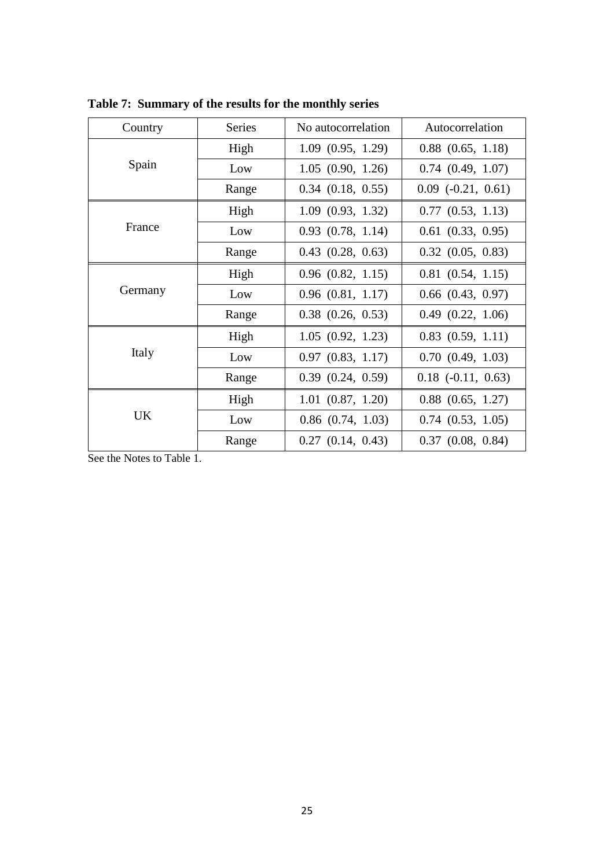| Country | <b>Series</b> | No autocorrelation    | Autocorrelation             |
|---------|---------------|-----------------------|-----------------------------|
|         | High          | 1.09(0.95, 1.29)      | $0.88$ $(0.65, 1.18)$       |
| Spain   | Low           | 1.05(0.90, 1.26)      | $0.74$ $(0.49, 1.07)$       |
|         | Range         | $0.34$ $(0.18, 0.55)$ | $0.09$ $(-0.21, 0.61)$      |
|         | High          | 1.09(0.93, 1.32)      | $0.77$ $(0.53, 1.13)$       |
| France  | Low           | $0.93$ $(0.78, 1.14)$ | $0.61$ $(0.33, 0.95)$       |
|         | Range         | $0.43$ $(0.28, 0.63)$ | $0.32$ $(0.05, 0.83)$       |
|         | High          | $0.96$ $(0.82, 1.15)$ | $0.81$ $(0.54, 1.15)$       |
| Germany | Low           | $0.96$ $(0.81, 1.17)$ | $0.66$ $(0.43, 0.97)$       |
|         | Range         | $0.38$ $(0.26, 0.53)$ | $0.49$ $(0.22, 1.06)$       |
|         | High          | 1.05(0.92, 1.23)      | $0.83$ $(0.59, 1.11)$       |
| Italy   | Low           | $0.97$ $(0.83, 1.17)$ | 0.70(0.49, 1.03)            |
|         | Range         | $0.39$ $(0.24, 0.59)$ | $0.18$ ( $-0.11$ , $0.63$ ) |
|         | High          | $1.01$ $(0.87, 1.20)$ | $0.88$ $(0.65, 1.27)$       |
| UK      | Low           | $0.86$ $(0.74, 1.03)$ | $0.74$ $(0.53, 1.05)$       |
|         | Range         | $0.27$ $(0.14, 0.43)$ | $0.37$ $(0.08, 0.84)$       |

**Table 7: Summary of the results for the monthly series**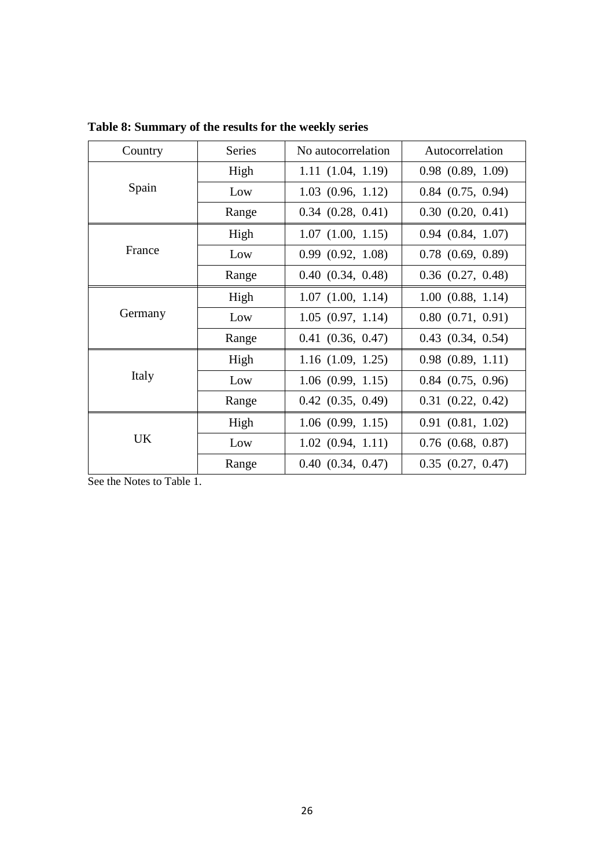| Country   | <b>Series</b> | No autocorrelation    | Autocorrelation       |
|-----------|---------------|-----------------------|-----------------------|
|           | High          | 1.11(1.04, 1.19)      | $0.98$ $(0.89, 1.09)$ |
| Spain     | Low           | $1.03$ $(0.96, 1.12)$ | $0.84$ $(0.75, 0.94)$ |
|           | Range         | $0.34$ $(0.28, 0.41)$ | $0.30$ $(0.20, 0.41)$ |
|           | High          | $1.07$ $(1.00, 1.15)$ | $0.94$ $(0.84, 1.07)$ |
| France    | Low           | 0.99(0.92, 1.08)      | $0.78$ $(0.69, 0.89)$ |
|           | Range         | $0.40$ $(0.34, 0.48)$ | $0.36$ $(0.27, 0.48)$ |
|           | High          | $1.07$ $(1.00, 1.14)$ | 1.00(0.88, 1.14)      |
| Germany   | Low           | $1.05$ $(0.97, 1.14)$ | $0.80$ $(0.71, 0.91)$ |
|           | Range         | $0.41$ $(0.36, 0.47)$ | $0.43$ $(0.34, 0.54)$ |
|           | High          | $1.16$ $(1.09, 1.25)$ | $0.98$ $(0.89, 1.11)$ |
| Italy     | Low           | $1.06$ $(0.99, 1.15)$ | $0.84$ $(0.75, 0.96)$ |
|           | Range         | $0.42$ $(0.35, 0.49)$ | $0.31$ $(0.22, 0.42)$ |
|           | High          | $1.06$ $(0.99, 1.15)$ | $0.91$ $(0.81, 1.02)$ |
| <b>UK</b> | Low           | $1.02$ $(0.94, 1.11)$ | $0.76$ $(0.68, 0.87)$ |
|           | Range         | $0.40$ $(0.34, 0.47)$ | $0.35$ $(0.27, 0.47)$ |

**Table 8: Summary of the results for the weekly series**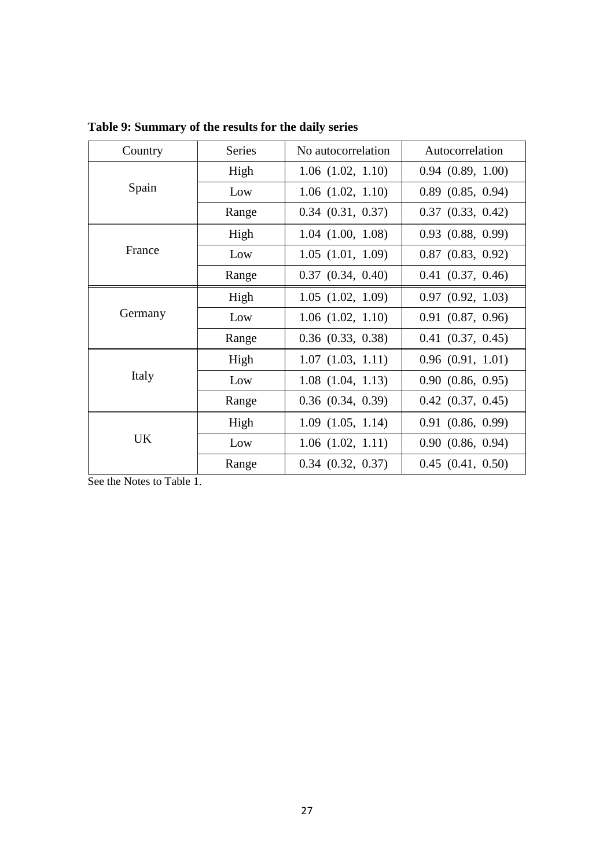| Country   | <b>Series</b> | No autocorrelation    | Autocorrelation       |
|-----------|---------------|-----------------------|-----------------------|
|           | High          | $1.06$ $(1.02, 1.10)$ | $0.94$ $(0.89, 1.00)$ |
| Spain     | Low           | $1.06$ $(1.02, 1.10)$ | $0.89$ $(0.85, 0.94)$ |
|           | Range         | $0.34$ $(0.31, 0.37)$ | $0.37$ $(0.33, 0.42)$ |
|           | High          | $1.04$ $(1.00, 1.08)$ | $0.93$ $(0.88, 0.99)$ |
| France    | Low           | $1.05$ $(1.01, 1.09)$ | $0.87$ $(0.83, 0.92)$ |
|           | Range         | $0.37$ $(0.34, 0.40)$ | $0.41$ $(0.37, 0.46)$ |
|           | High          | $1.05$ $(1.02, 1.09)$ | $0.97$ $(0.92, 1.03)$ |
| Germany   | Low           | $1.06$ $(1.02, 1.10)$ | $0.91$ $(0.87, 0.96)$ |
|           | Range         | $0.36$ $(0.33, 0.38)$ | $0.41$ $(0.37, 0.45)$ |
|           | High          | $1.07$ $(1.03, 1.11)$ | $0.96$ $(0.91, 1.01)$ |
| Italy     | Low           | $1.08$ $(1.04, 1.13)$ | $0.90$ $(0.86, 0.95)$ |
|           | Range         | $0.36$ $(0.34, 0.39)$ | $0.42$ $(0.37, 0.45)$ |
|           | High          | $1.09$ $(1.05, 1.14)$ | $0.91$ $(0.86, 0.99)$ |
| <b>UK</b> | Low           | $1.06$ $(1.02, 1.11)$ | $0.90$ $(0.86, 0.94)$ |
|           | Range         | $0.34$ $(0.32, 0.37)$ | $0.45$ $(0.41, 0.50)$ |

**Table 9: Summary of the results for the daily series**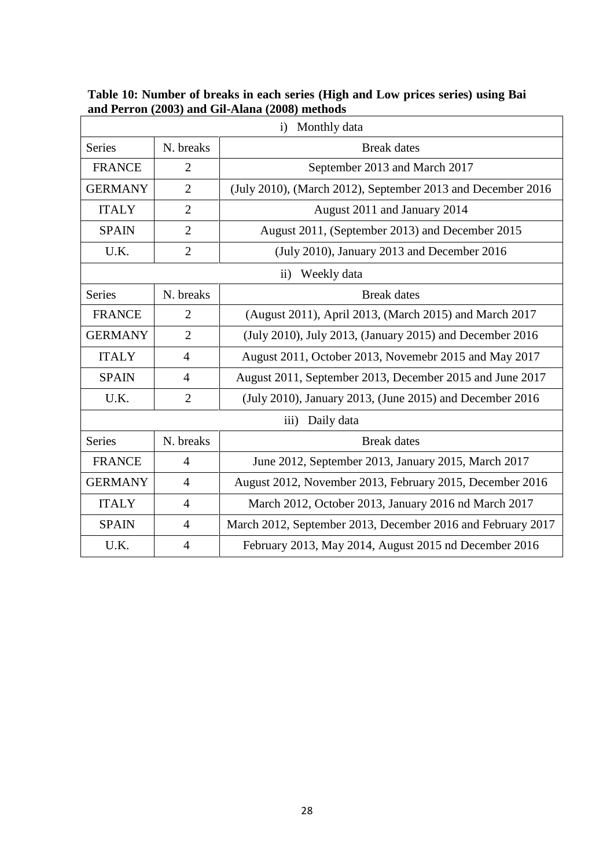| Monthly data<br>i) |                |                                                             |  |
|--------------------|----------------|-------------------------------------------------------------|--|
| <b>Series</b>      | N. breaks      | <b>Break</b> dates                                          |  |
| <b>FRANCE</b>      | $\overline{2}$ | September 2013 and March 2017                               |  |
| <b>GERMANY</b>     | $\overline{2}$ | (July 2010), (March 2012), September 2013 and December 2016 |  |
| <b>ITALY</b>       | $\overline{2}$ | August 2011 and January 2014                                |  |
| <b>SPAIN</b>       | $\overline{2}$ | August 2011, (September 2013) and December 2015             |  |
| U.K.               | $\overline{2}$ | (July 2010), January 2013 and December 2016                 |  |
|                    |                | ii) Weekly data                                             |  |
| <b>Series</b>      | N. breaks      | <b>Break</b> dates                                          |  |
| <b>FRANCE</b>      | $\overline{2}$ | (August 2011), April 2013, (March 2015) and March 2017      |  |
| <b>GERMANY</b>     | $\overline{2}$ | (July 2010), July 2013, (January 2015) and December 2016    |  |
| <b>ITALY</b>       | $\overline{4}$ | August 2011, October 2013, Novemebr 2015 and May 2017       |  |
| <b>SPAIN</b>       | $\overline{4}$ | August 2011, September 2013, December 2015 and June 2017    |  |
| U.K.               | $\overline{2}$ | (July 2010), January 2013, (June 2015) and December 2016    |  |
|                    |                | Daily data<br>$\overline{iii}$                              |  |
| <b>Series</b>      | N. breaks      | <b>Break</b> dates                                          |  |
| <b>FRANCE</b>      | $\overline{4}$ | June 2012, September 2013, January 2015, March 2017         |  |
| <b>GERMANY</b>     | $\overline{4}$ | August 2012, November 2013, February 2015, December 2016    |  |
| <b>ITALY</b>       | $\overline{4}$ | March 2012, October 2013, January 2016 nd March 2017        |  |
| <b>SPAIN</b>       | $\overline{4}$ | March 2012, September 2013, December 2016 and February 2017 |  |
| U.K.               | 4              | February 2013, May 2014, August 2015 nd December 2016       |  |

**Table 10: Number of breaks in each series (High and Low prices series) using Bai and Perron (2003) and Gil-Alana (2008) methods**